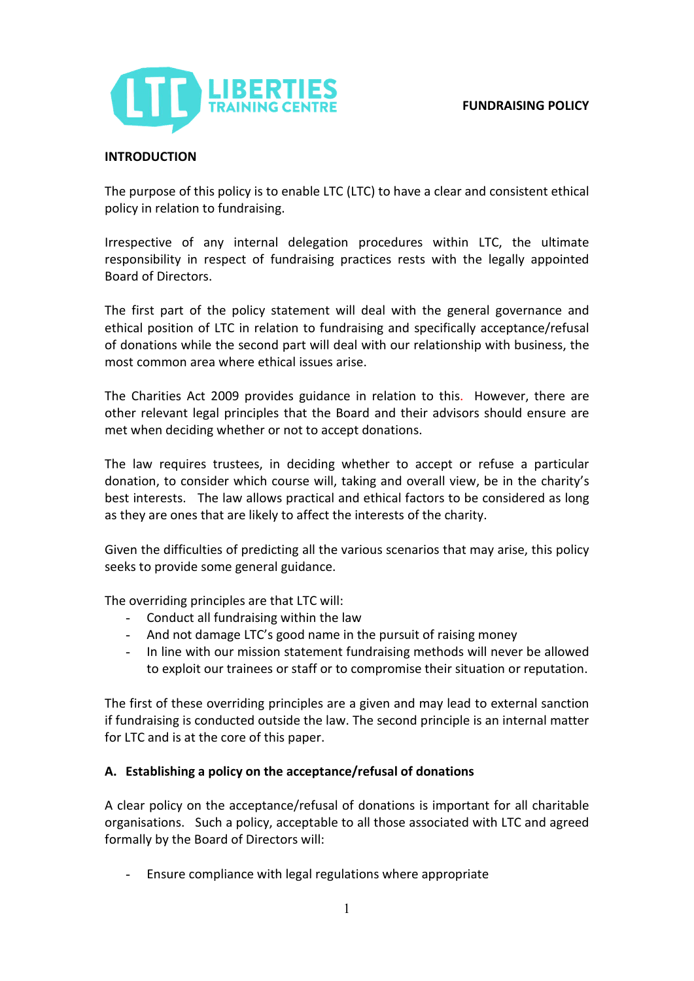# **FUNDRAISING POLICY**



## **INTRODUCTION**

The purpose of this policy is to enable LTC (LTC) to have a clear and consistent ethical policy in relation to fundraising.

Irrespective of any internal delegation procedures within LTC, the ultimate responsibility in respect of fundraising practices rests with the legally appointed Board of Directors.

The first part of the policy statement will deal with the general governance and ethical position of LTC in relation to fundraising and specifically acceptance/refusal of donations while the second part will deal with our relationship with business, the most common area where ethical issues arise.

The Charities Act 2009 provides guidance in relation to this. However, there are other relevant legal principles that the Board and their advisors should ensure are met when deciding whether or not to accept donations.

The law requires trustees, in deciding whether to accept or refuse a particular donation, to consider which course will, taking and overall view, be in the charity's best interests. The law allows practical and ethical factors to be considered as long as they are ones that are likely to affect the interests of the charity.

Given the difficulties of predicting all the various scenarios that may arise, this policy seeks to provide some general guidance.

The overriding principles are that LTC will:

- Conduct all fundraising within the law
- And not damage LTC's good name in the pursuit of raising money
- In line with our mission statement fundraising methods will never be allowed to exploit our trainees or staff or to compromise their situation or reputation.

The first of these overriding principles are a given and may lead to external sanction if fundraising is conducted outside the law. The second principle is an internal matter for LTC and is at the core of this paper.

#### **A. Establishing a policy on the acceptance/refusal of donations**

A clear policy on the acceptance/refusal of donations is important for all charitable organisations. Such a policy, acceptable to all those associated with LTC and agreed formally by the Board of Directors will:

- Ensure compliance with legal regulations where appropriate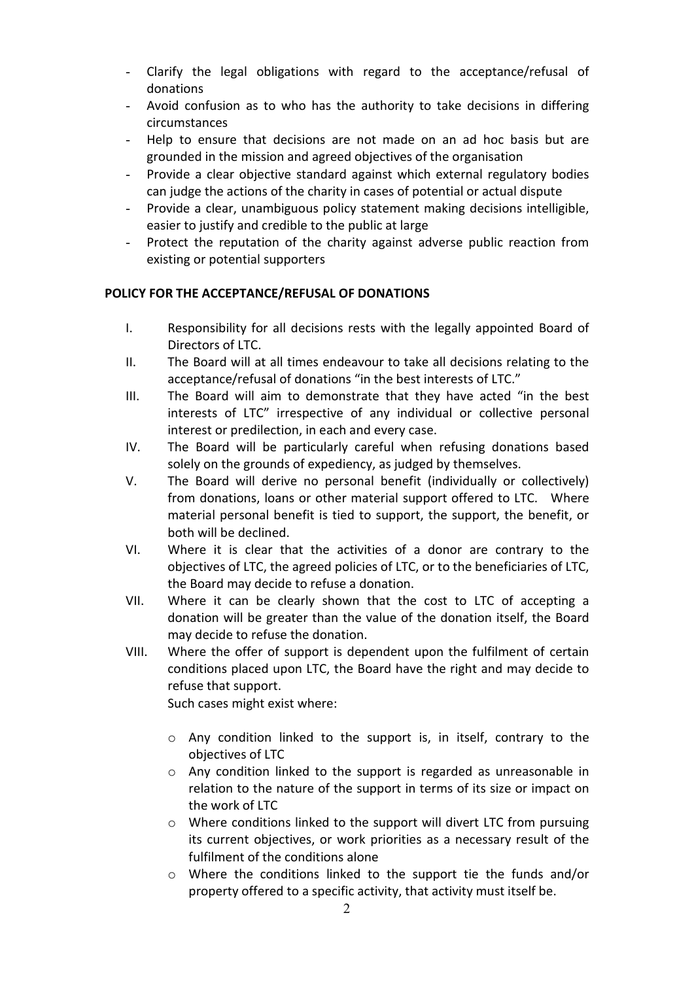- Clarify the legal obligations with regard to the acceptance/refusal of donations
- Avoid confusion as to who has the authority to take decisions in differing circumstances
- Help to ensure that decisions are not made on an ad hoc basis but are grounded in the mission and agreed objectives of the organisation
- Provide a clear objective standard against which external regulatory bodies can judge the actions of the charity in cases of potential or actual dispute
- Provide a clear, unambiguous policy statement making decisions intelligible, easier to justify and credible to the public at large
- Protect the reputation of the charity against adverse public reaction from existing or potential supporters

# **POLICY FOR THE ACCEPTANCE/REFUSAL OF DONATIONS**

- I. Responsibility for all decisions rests with the legally appointed Board of Directors of LTC.
- II. The Board will at all times endeavour to take all decisions relating to the acceptance/refusal of donations "in the best interests of LTC."
- III. The Board will aim to demonstrate that they have acted "in the best interests of LTC" irrespective of any individual or collective personal interest or predilection, in each and every case.
- IV. The Board will be particularly careful when refusing donations based solely on the grounds of expediency, as judged by themselves.
- V. The Board will derive no personal benefit (individually or collectively) from donations, loans or other material support offered to LTC. Where material personal benefit is tied to support, the support, the benefit, or both will be declined.
- VI. Where it is clear that the activities of a donor are contrary to the objectives of LTC, the agreed policies of LTC, or to the beneficiaries of LTC, the Board may decide to refuse a donation.
- VII. Where it can be clearly shown that the cost to LTC of accepting a donation will be greater than the value of the donation itself, the Board may decide to refuse the donation.
- VIII. Where the offer of support is dependent upon the fulfilment of certain conditions placed upon LTC, the Board have the right and may decide to refuse that support.

Such cases might exist where:

- o Any condition linked to the support is, in itself, contrary to the objectives of LTC
- o Any condition linked to the support is regarded as unreasonable in relation to the nature of the support in terms of its size or impact on the work of LTC
- o Where conditions linked to the support will divert LTC from pursuing its current objectives, or work priorities as a necessary result of the fulfilment of the conditions alone
- o Where the conditions linked to the support tie the funds and/or property offered to a specific activity, that activity must itself be.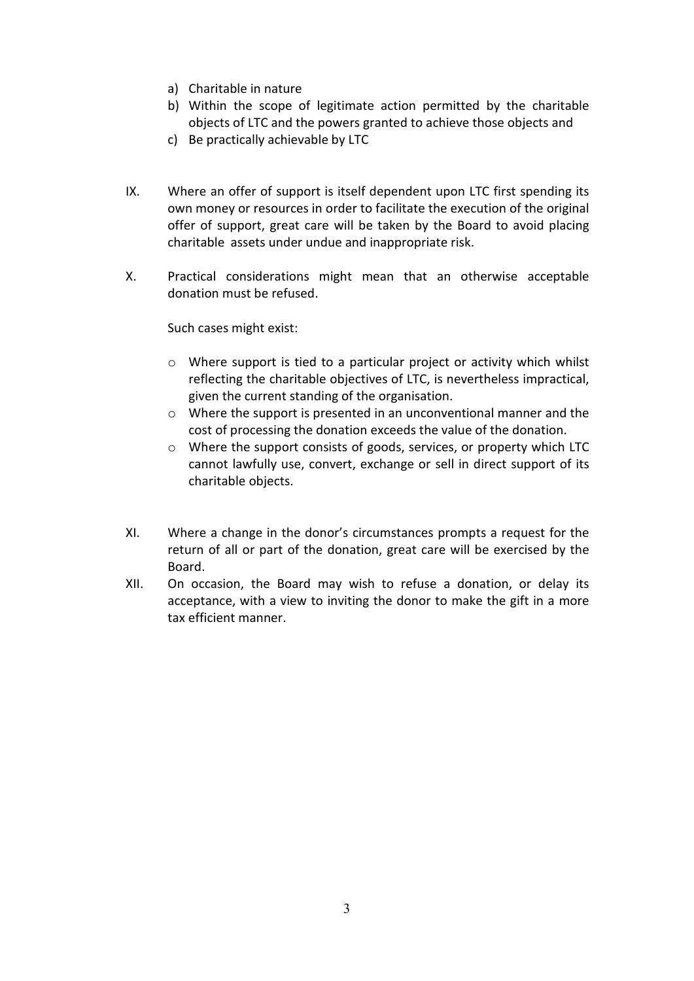- a) Charitable in nature
- b) Within the scope of legitimate action permitted by the charitable objects of LTC and the powers granted to achieve those objects and
- c) Be practically achievable by LTC
- IX. Where an offer of support is itself dependent upon LTC first spending its own money or resources in order to facilitate the execution of the original offer of support, great care will be taken by the Board to avoid placing charitable assets under undue and inappropriate risk.
- X. Practical considerations might mean that an otherwise acceptable donation must be refused.

Such cases might exist:

- o Where support is tied to a particular project or activity which whilst reflecting the charitable objectives of LTC, is nevertheless impractical, given the current standing of the organisation.
- o Where the support is presented in an unconventional manner and the cost of processing the donation exceeds the value of the donation.
- o Where the support consists of goods, services, or property which LTC cannot lawfully use, convert, exchange or sell in direct support of its charitable objects.
- XI. Where a change in the donor's circumstances prompts a request for the return of all or part of the donation, great care will be exercised by the Board.
- XII. On occasion, the Board may wish to refuse a donation, or delay its acceptance, with a view to inviting the donor to make the gift in a more tax efficient manner.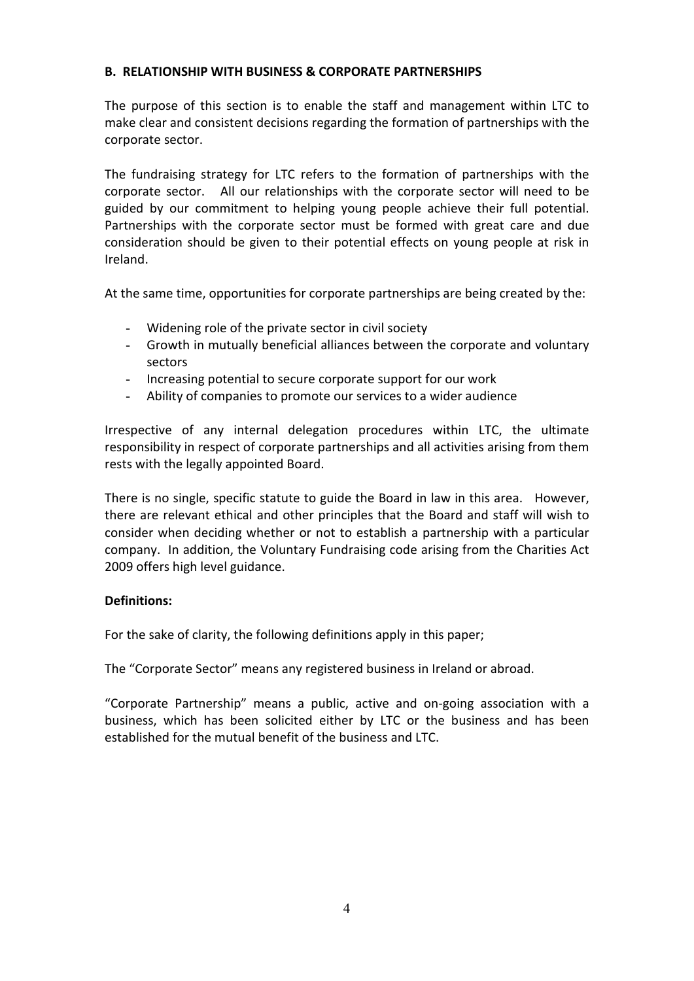## **B. RELATIONSHIP WITH BUSINESS & CORPORATE PARTNERSHIPS**

The purpose of this section is to enable the staff and management within LTC to make clear and consistent decisions regarding the formation of partnerships with the corporate sector.

The fundraising strategy for LTC refers to the formation of partnerships with the corporate sector. All our relationships with the corporate sector will need to be guided by our commitment to helping young people achieve their full potential. Partnerships with the corporate sector must be formed with great care and due consideration should be given to their potential effects on young people at risk in Ireland.

At the same time, opportunities for corporate partnerships are being created by the:

- Widening role of the private sector in civil society
- Growth in mutually beneficial alliances between the corporate and voluntary sectors
- Increasing potential to secure corporate support for our work
- Ability of companies to promote our services to a wider audience

Irrespective of any internal delegation procedures within LTC, the ultimate responsibility in respect of corporate partnerships and all activities arising from them rests with the legally appointed Board.

There is no single, specific statute to guide the Board in law in this area. However, there are relevant ethical and other principles that the Board and staff will wish to consider when deciding whether or not to establish a partnership with a particular company. In addition, the Voluntary Fundraising code arising from the Charities Act 2009 offers high level guidance.

#### **Definitions:**

For the sake of clarity, the following definitions apply in this paper;

The "Corporate Sector" means any registered business in Ireland or abroad.

"Corporate Partnership" means a public, active and on-going association with a business, which has been solicited either by LTC or the business and has been established for the mutual benefit of the business and LTC.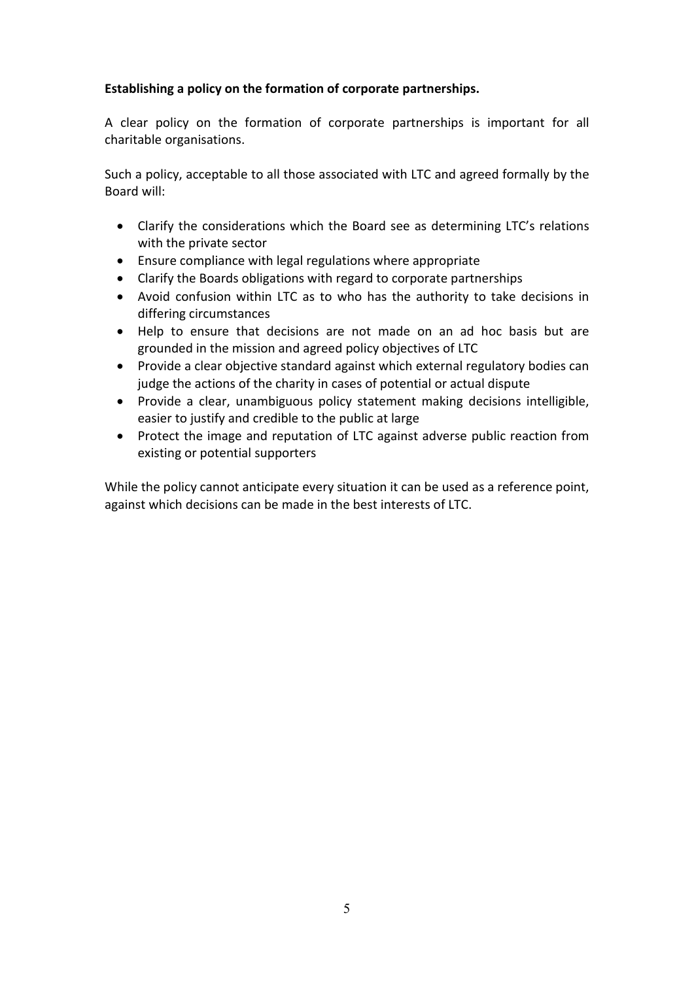# **Establishing a policy on the formation of corporate partnerships.**

A clear policy on the formation of corporate partnerships is important for all charitable organisations.

Such a policy, acceptable to all those associated with LTC and agreed formally by the Board will:

- Clarify the considerations which the Board see as determining LTC's relations with the private sector
- Ensure compliance with legal regulations where appropriate
- Clarify the Boards obligations with regard to corporate partnerships
- Avoid confusion within LTC as to who has the authority to take decisions in differing circumstances
- Help to ensure that decisions are not made on an ad hoc basis but are grounded in the mission and agreed policy objectives of LTC
- Provide a clear objective standard against which external regulatory bodies can judge the actions of the charity in cases of potential or actual dispute
- Provide a clear, unambiguous policy statement making decisions intelligible, easier to justify and credible to the public at large
- Protect the image and reputation of LTC against adverse public reaction from existing or potential supporters

While the policy cannot anticipate every situation it can be used as a reference point, against which decisions can be made in the best interests of LTC.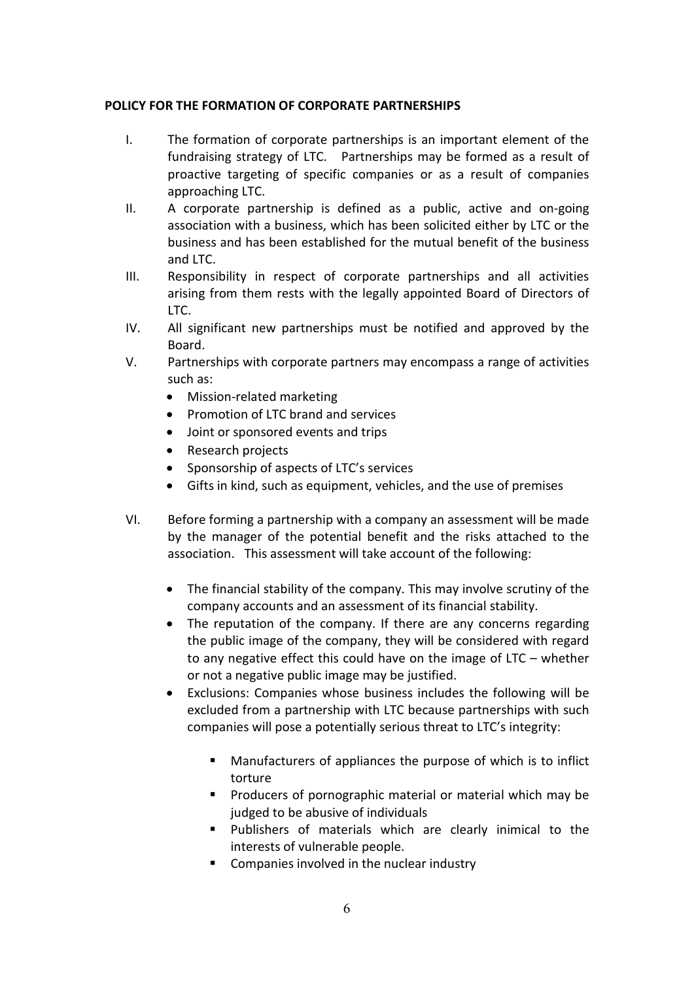# **POLICY FOR THE FORMATION OF CORPORATE PARTNERSHIPS**

- I. The formation of corporate partnerships is an important element of the fundraising strategy of LTC. Partnerships may be formed as a result of proactive targeting of specific companies or as a result of companies approaching LTC.
- II. A corporate partnership is defined as a public, active and on-going association with a business, which has been solicited either by LTC or the business and has been established for the mutual benefit of the business and LTC.
- III. Responsibility in respect of corporate partnerships and all activities arising from them rests with the legally appointed Board of Directors of LTC.
- IV. All significant new partnerships must be notified and approved by the Board.
- V. Partnerships with corporate partners may encompass a range of activities such as:
	- Mission-related marketing
	- Promotion of LTC brand and services
	- Joint or sponsored events and trips
	- Research projects
	- Sponsorship of aspects of LTC's services
	- Gifts in kind, such as equipment, vehicles, and the use of premises
- VI. Before forming a partnership with a company an assessment will be made by the manager of the potential benefit and the risks attached to the association. This assessment will take account of the following:
	- The financial stability of the company. This may involve scrutiny of the company accounts and an assessment of its financial stability.
	- The reputation of the company. If there are any concerns regarding the public image of the company, they will be considered with regard to any negative effect this could have on the image of LTC – whether or not a negative public image may be justified.
	- Exclusions: Companies whose business includes the following will be excluded from a partnership with LTC because partnerships with such companies will pose a potentially serious threat to LTC's integrity:
		- Manufacturers of appliances the purpose of which is to inflict torture
		- **Producers of pornographic material or material which may be** judged to be abusive of individuals
		- **Publishers of materials which are clearly inimical to the** interests of vulnerable people.
		- Companies involved in the nuclear industry